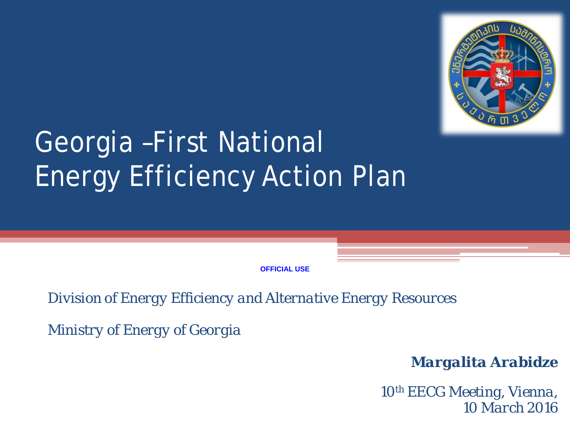

# Georgia –First National Energy Efficiency Action Plan

**OFFICIAL USE**

*Division of Energy Efficiency and Alternative Energy Resources*

*Ministry of Energy of Georgia*

*Margalita Arabidze*

*10th EECG Meeting, Vienna, 10 March 2016*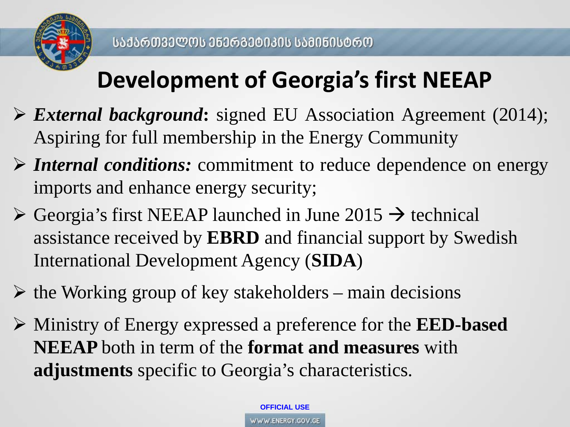

## **Development of Georgia's first NEEAP**

- *External background***:** signed EU Association Agreement (2014); Aspiring for full membership in the Energy Community
- *Internal conditions:* commitment to reduce dependence on energy imports and enhance energy security;
- $\triangleright$  Georgia's first NEEAP launched in June 2015  $\rightarrow$  technical assistance received by **EBRD** and financial support by Swedish International Development Agency (**SIDA**)
- $\triangleright$  the Working group of key stakeholders main decisions
- Ministry of Energy expressed a preference for the **EED-based NEEAP** both in term of the **format and measures** with **adjustments** specific to Georgia's characteristics.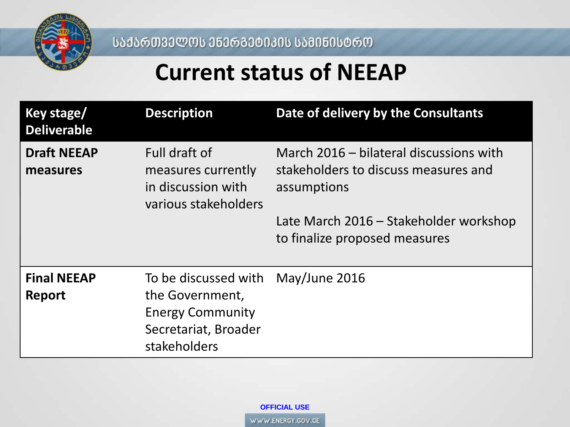

ᲡᲐᲥᲐᲠᲗᲕᲔᲚᲝᲡ ᲔᲜᲔᲠᲒᲔᲢᲘᲙᲘᲡ ᲡᲐᲛᲘᲜᲘᲡᲢᲠᲝ

#### **Current status of NEEAP**

| <b>Key stage/</b><br><b>Deliverable</b> | <b>Description</b>                                                                                                       | Date of delivery by the Consultants                                                                                                                                       |
|-----------------------------------------|--------------------------------------------------------------------------------------------------------------------------|---------------------------------------------------------------------------------------------------------------------------------------------------------------------------|
| <b>Draft NEEAP</b><br>measures          | Full draft of<br>measures currently<br>in discussion with<br>various stakeholders                                        | March 2016 - bilateral discussions with<br>stakeholders to discuss measures and<br>assumptions<br>Late March 2016 – Stakeholder workshop<br>to finalize proposed measures |
| <b>Final NEEAP</b><br><b>Report</b>     | To be discussed with May/June 2016<br>the Government,<br><b>Energy Community</b><br>Secretariat, Broader<br>stakeholders |                                                                                                                                                                           |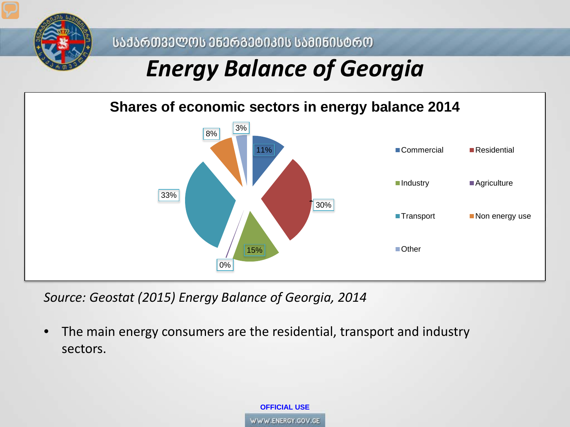

ᲡᲐᲥᲐᲠᲗᲕᲔᲚᲝᲡ ᲔᲜᲔᲠᲒᲔᲢᲘᲙᲘᲡ ᲡᲐᲛᲘᲜᲘᲡᲢᲠᲝ

### *Energy Balance of Georgia*

#### **Shares of economic sectors in energy balance 2014**



*Source: Geostat (2015) Energy Balance of Georgia, 2014*

• The main energy consumers are the residential, transport and industry sectors.

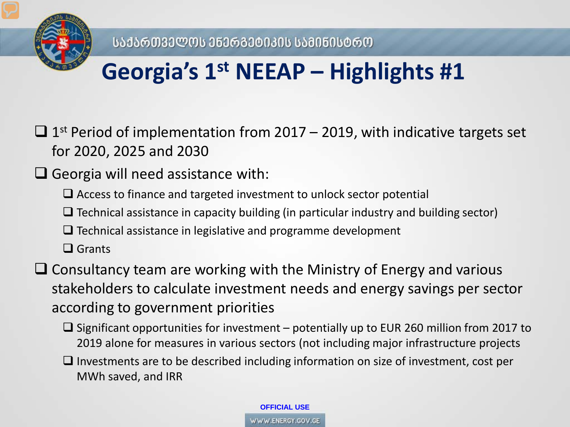

## **Georgia's 1st NEEAP – Highlights #1**

 $\Box$  1<sup>st</sup> Period of implementation from 2017 – 2019, with indicative targets set for 2020, 2025 and 2030

#### $\Box$  Georgia will need assistance with:

- $\Box$  Access to finance and targeted investment to unlock sector potential
- $\Box$  Technical assistance in capacity building (in particular industry and building sector)
- $\Box$  Technical assistance in legislative and programme development
- □ Grants

 $\Box$  Consultancy team are working with the Ministry of Energy and various stakeholders to calculate investment needs and energy savings per sector according to government priorities

 $\square$  Significant opportunities for investment – potentially up to EUR 260 million from 2017 to 2019 alone for measures in various sectors (not including major infrastructure projects

 $\Box$  Investments are to be described including information on size of investment, cost per MWh saved, and IRR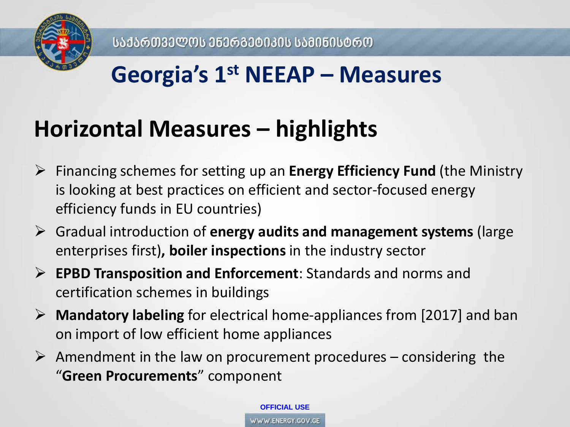

### **Georgia's 1st NEEAP – Measures**

### **Horizontal Measures – highlights**

- Financing schemes for setting up an **Energy Efficiency Fund** (the Ministry is looking at best practices on efficient and sector-focused energy efficiency funds in EU countries)
- Gradual introduction of **energy audits and management systems** (large enterprises first)**, boiler inspections** in the industry sector
- **EPBD Transposition and Enforcement**: Standards and norms and certification schemes in buildings
- **Mandatory labeling** for electrical home-appliances from [2017] and ban on import of low efficient home appliances
- $\triangleright$  Amendment in the law on procurement procedures considering the "**Green Procurements**" component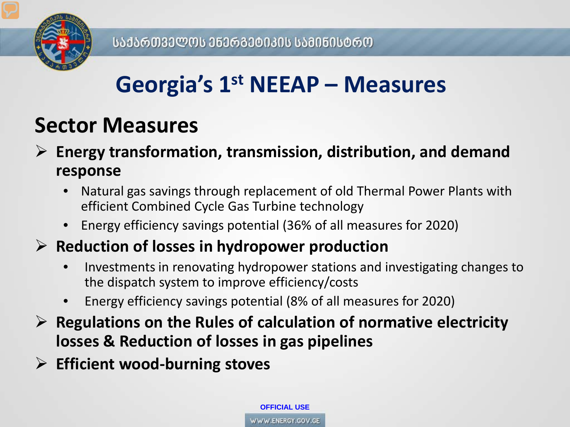

## **Georgia's 1st NEEAP – Measures**

#### **Sector Measures**

 **Energy transformation, transmission, distribution, and demand response**

- Natural gas savings through replacement of old Thermal Power Plants with efficient Combined Cycle Gas Turbine technology
- Energy efficiency savings potential (36% of all measures for 2020)

#### **Reduction of losses in hydropower production**

- Investments in renovating hydropower stations and investigating changes to the dispatch system to improve efficiency/costs
- Energy efficiency savings potential (8% of all measures for 2020)
- **Regulations on the Rules of calculation of normative electricity losses & Reduction of losses in gas pipelines**
- **Efficient wood-burning stoves**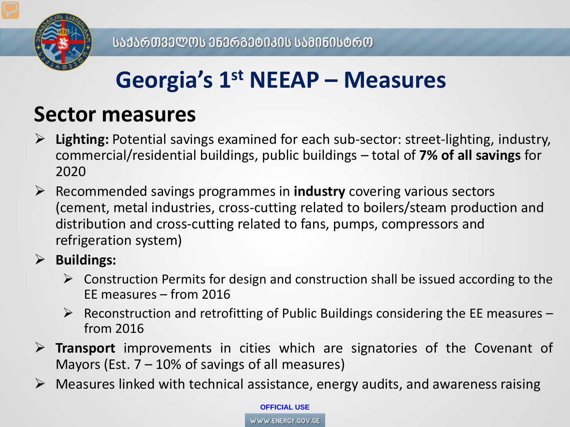

## **Georgia's 1st NEEAP – Measures**

#### **Sector measures**

- **Lighting:** Potential savings examined for each sub-sector: street-lighting, industry, commercial/residential buildings, public buildings – total of **7% of all savings** for 2020
- Recommended savings programmes in **industry** covering various sectors (cement, metal industries, cross-cutting related to boilers/steam production and distribution and cross-cutting related to fans, pumps, compressors and refrigeration system)

#### **Buildings:**

- $\triangleright$  Construction Permits for design and construction shall be issued according to the EE measures – from 2016
- $\triangleright$  Reconstruction and retrofitting of Public Buildings considering the EE measures from 2016
- **Transport** improvements in cities which are signatories of the Covenant of Mayors (Est.  $7 - 10\%$  of savings of all measures)
- $\triangleright$  Measures linked with technical assistance, energy audits, and awareness raising

**OFFICIAL USE**

WWW.ENERGY.GOV.GE